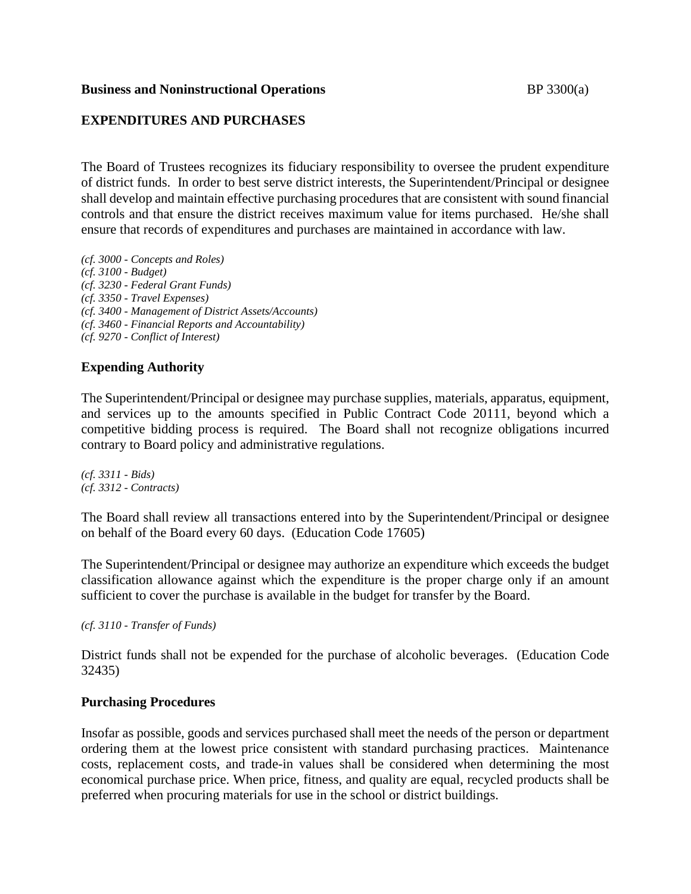### **Business and Noninstructional Operations BP** 3300(a)

# **EXPENDITURES AND PURCHASES**

The Board of Trustees recognizes its fiduciary responsibility to oversee the prudent expenditure of district funds. In order to best serve district interests, the Superintendent/Principal or designee shall develop and maintain effective purchasing procedures that are consistent with sound financial controls and that ensure the district receives maximum value for items purchased. He/she shall ensure that records of expenditures and purchases are maintained in accordance with law.

*(cf. 3000 - Concepts and Roles) (cf. 3100 - Budget) (cf. 3230 - Federal Grant Funds) (cf. 3350 - Travel Expenses) (cf. 3400 - Management of District Assets/Accounts) (cf. 3460 - Financial Reports and Accountability) (cf. 9270 - Conflict of Interest)*

# **Expending Authority**

The Superintendent/Principal or designee may purchase supplies, materials, apparatus, equipment, and services up to the amounts specified in Public Contract Code 20111, beyond which a competitive bidding process is required. The Board shall not recognize obligations incurred contrary to Board policy and administrative regulations.

*(cf. 3311 - Bids) (cf. 3312 - Contracts)*

The Board shall review all transactions entered into by the Superintendent/Principal or designee on behalf of the Board every 60 days. (Education Code 17605)

The Superintendent/Principal or designee may authorize an expenditure which exceeds the budget classification allowance against which the expenditure is the proper charge only if an amount sufficient to cover the purchase is available in the budget for transfer by the Board.

*(cf. 3110 - Transfer of Funds)*

District funds shall not be expended for the purchase of alcoholic beverages. (Education Code 32435)

# **Purchasing Procedures**

Insofar as possible, goods and services purchased shall meet the needs of the person or department ordering them at the lowest price consistent with standard purchasing practices. Maintenance costs, replacement costs, and trade-in values shall be considered when determining the most economical purchase price. When price, fitness, and quality are equal, recycled products shall be preferred when procuring materials for use in the school or district buildings.